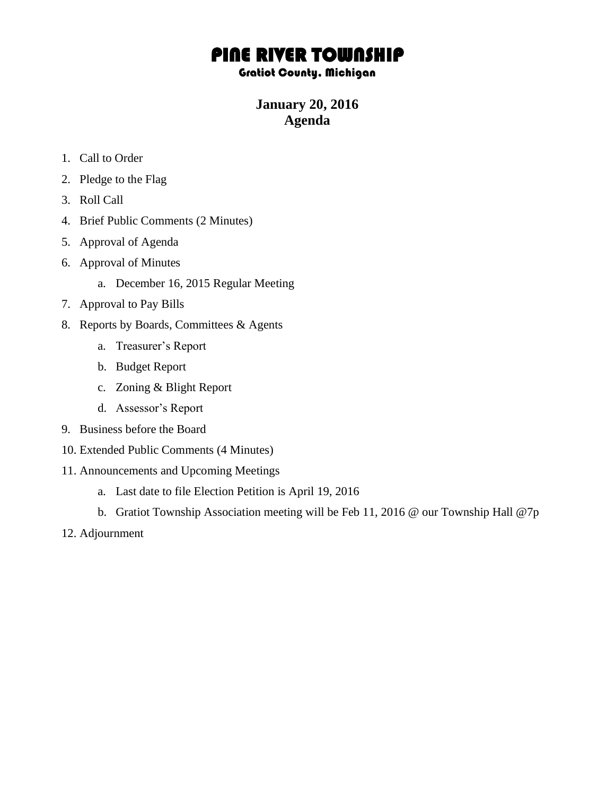# PINE RIVER TOWNSHIP

## Gratiot County, Michigan

## **January 20, 2016 Agenda**

- 1. Call to Order
- 2. Pledge to the Flag
- 3. Roll Call
- 4. Brief Public Comments (2 Minutes)
- 5. Approval of Agenda
- 6. Approval of Minutes
	- a. December 16, 2015 Regular Meeting
- 7. Approval to Pay Bills
- 8. Reports by Boards, Committees & Agents
	- a. Treasurer's Report
	- b. Budget Report
	- c. Zoning & Blight Report
	- d. Assessor's Report
- 9. Business before the Board
- 10. Extended Public Comments (4 Minutes)
- 11. Announcements and Upcoming Meetings
	- a. Last date to file Election Petition is April 19, 2016
	- b. Gratiot Township Association meeting will be Feb 11, 2016 @ our Township Hall @7p
- 12. Adjournment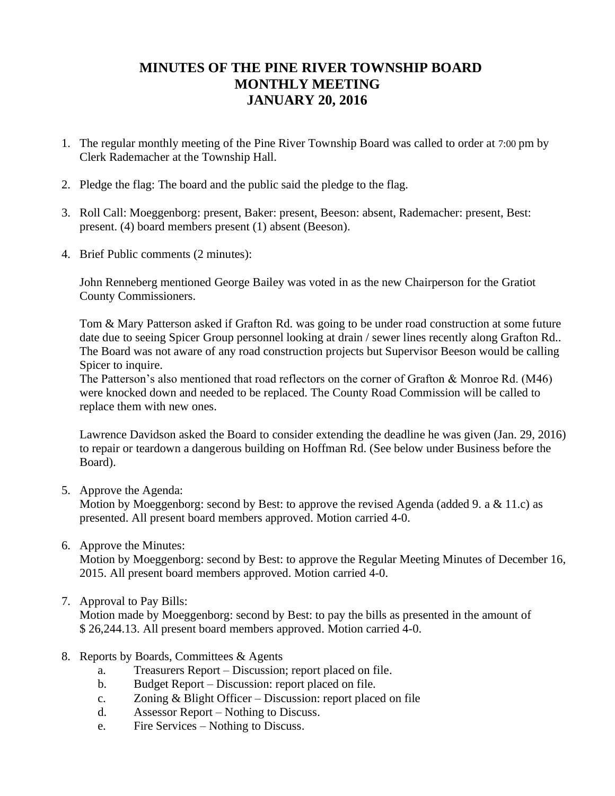## **MINUTES OF THE PINE RIVER TOWNSHIP BOARD MONTHLY MEETING JANUARY 20, 2016**

- 1. The regular monthly meeting of the Pine River Township Board was called to order at 7:00 pm by Clerk Rademacher at the Township Hall.
- 2. Pledge the flag: The board and the public said the pledge to the flag.
- 3. Roll Call: Moeggenborg: present, Baker: present, Beeson: absent, Rademacher: present, Best: present. (4) board members present (1) absent (Beeson).
- 4. Brief Public comments (2 minutes):

John Renneberg mentioned George Bailey was voted in as the new Chairperson for the Gratiot County Commissioners.

Tom & Mary Patterson asked if Grafton Rd. was going to be under road construction at some future date due to seeing Spicer Group personnel looking at drain / sewer lines recently along Grafton Rd.. The Board was not aware of any road construction projects but Supervisor Beeson would be calling Spicer to inquire.

The Patterson's also mentioned that road reflectors on the corner of Grafton & Monroe Rd. (M46) were knocked down and needed to be replaced. The County Road Commission will be called to replace them with new ones.

Lawrence Davidson asked the Board to consider extending the deadline he was given (Jan. 29, 2016) to repair or teardown a dangerous building on Hoffman Rd. (See below under Business before the Board).

5. Approve the Agenda:

Motion by Moeggenborg: second by Best: to approve the revised Agenda (added 9. a & 11.c) as presented. All present board members approved. Motion carried 4-0.

6. Approve the Minutes:

Motion by Moeggenborg: second by Best: to approve the Regular Meeting Minutes of December 16, 2015. All present board members approved. Motion carried 4-0.

## 7. Approval to Pay Bills:

Motion made by Moeggenborg: second by Best: to pay the bills as presented in the amount of \$ 26,244.13. All present board members approved. Motion carried 4-0.

## 8. Reports by Boards, Committees & Agents

- a. Treasurers Report Discussion; report placed on file.
- b. Budget Report Discussion: report placed on file.
- c. Zoning & Blight Officer Discussion: report placed on file
- d. Assessor Report Nothing to Discuss.
- e. Fire Services Nothing to Discuss.